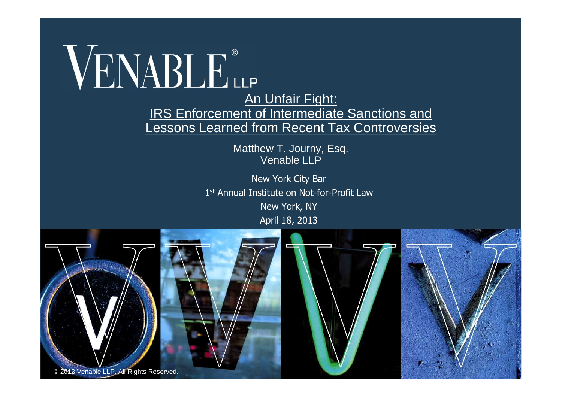WENABLE<sup>®</sup>

#### **IRS Enforcement of Intermediate Sanctions and** Lessons Learned from Recent Tax Controversies

Matthew T. Journy, Esq. Venable I I P

New York City Bar 1 st Annual Institute on Not-for-Profit Law New York, NY April 18, 2013

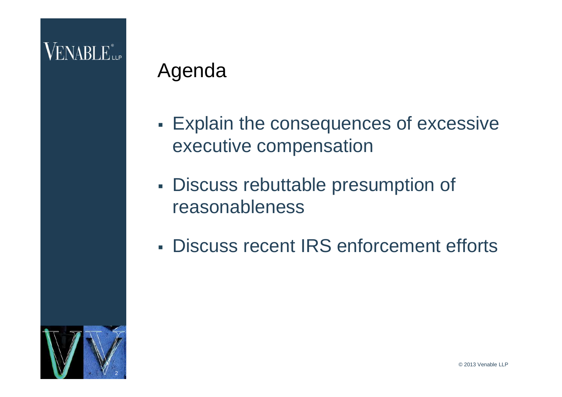## **VENABLE** LLP

#### Agenda

- **Explain the consequences of excessive** executive compensation
- Discuss rebuttable presumption of reasonableness
- Discuss recent IRS enforcement efforts

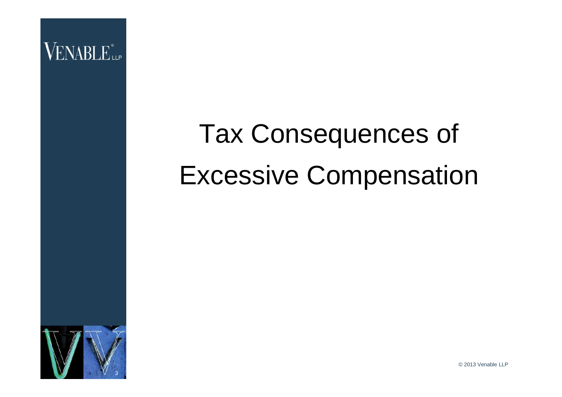

## Tax Consequences of Excessive Compensation



© 2013 Venable LLP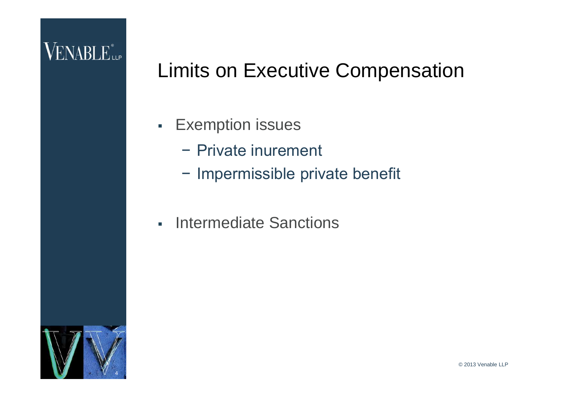## **VENABLE** LLP

#### Limits on Executive Compensation

- **Exemption issues** 
	- − Private inurement
	- − Impermissible private benefit
- **Intermediate Sanctions**

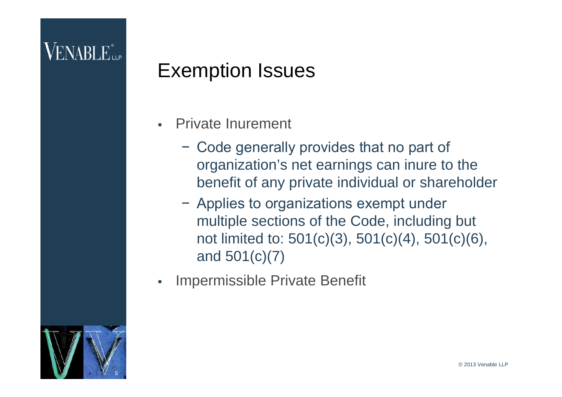#### Exemption Issues

- Private Inurement
	- − Code generally provides that no part of organization's net earnings can inure to the benefit of any private individual or shareholder
	- − Applies to organizations exempt under multiple sections of the Code, including but not limited to: 501(c)(3), 501(c)(4), 501(c)(6), and 501(c)(7)
- Impermissible Private Benefit

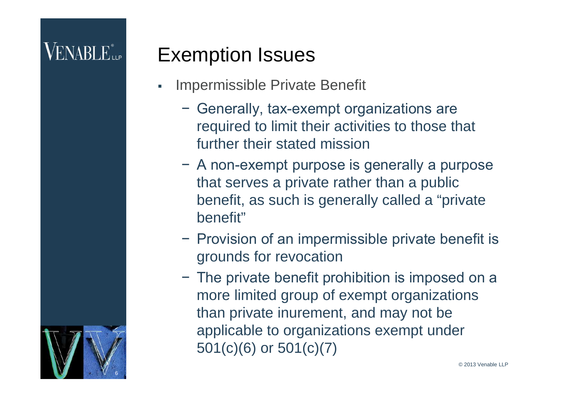#### Exemption Issues

- Impermissible Private Benefit
	- − Generally, tax-exempt organizations are required to limit their activities to those that further their stated mission
	- − A non-exempt purpose is generally a purpose that serves a private rather than a public benefit, as such is generally called a "private benefit"
	- − Provision of an impermissible private benefit is grounds for revocation
	- − The private benefit prohibition is imposed on a more limited group of exempt organizations than private inurement, and may not be applicable to organizations exempt under 501(c)(6) or 501(c)(7)

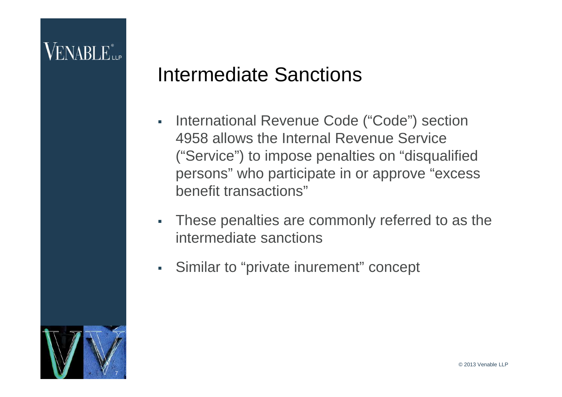#### Intermediate Sanctions

- **International Revenue Code ("Code") section** 4958 allows the Internal Revenue Service ("Service") to impose penalties on "disqualified persons" who participate in or approve "excess benefit transactions"
- These penalties are commonly referred to as the intermediate sanctions
- Similar to "private inurement" concept

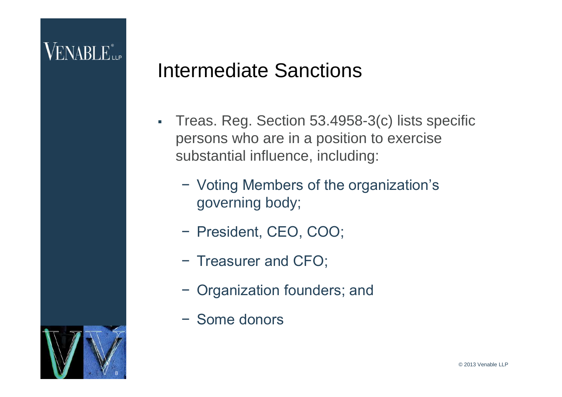#### Intermediate Sanctions

- Treas. Reg. Section 53.4958-3(c) lists specific persons who are in a position to exercise substantial influence, including:
	- − Voting Members of the organization's governing body;
	- − President, CEO, COO;
	- − Treasurer and CFO;
	- − Organization founders; and
	- − Some donors

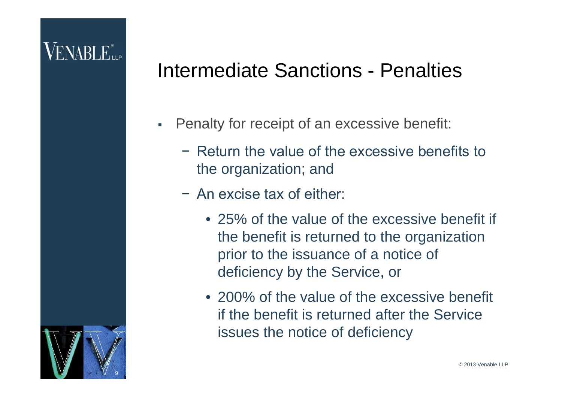## VENABLE<sup>®</sup>

#### Intermediate Sanctions - Penalties

- Penalty for receipt of an excessive benefit:
	- − Return the value of the excessive benefits to the organization; and
	- − An excise tax of either:
		- 25% of the value of the excessive benefit if the benefit is returned to the organization prior to the issuance of a notice of deficiency by the Service, or
		- 200% of the value of the excessive benefit if the benefit is returned after the Service issues the notice of deficiency

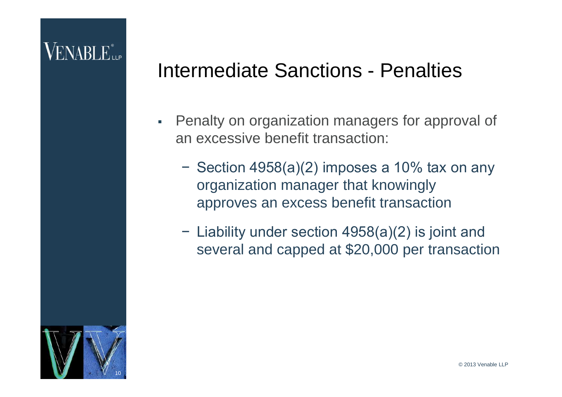#### Intermediate Sanctions - Penalties

- **Penalty on organization managers for approval of** an excessive benefit transaction:
	- − Section 4958(a)(2) imposes a 10% tax on any organization manager that knowingly approves an excess benefit transaction
	- − Liability under section 4958(a)(2) is joint and several and capped at \$20,000 per transaction

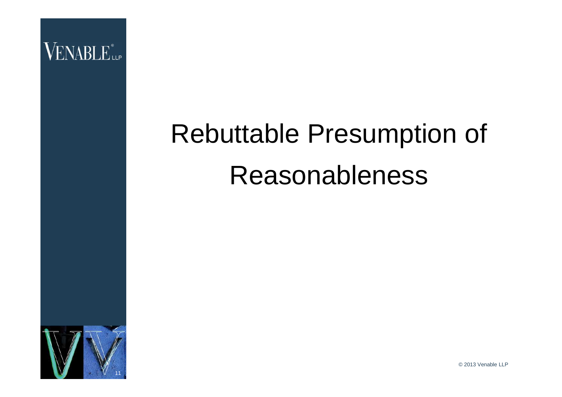

# Rebuttable Presumption of Reasonableness



© 2013 Venable LLP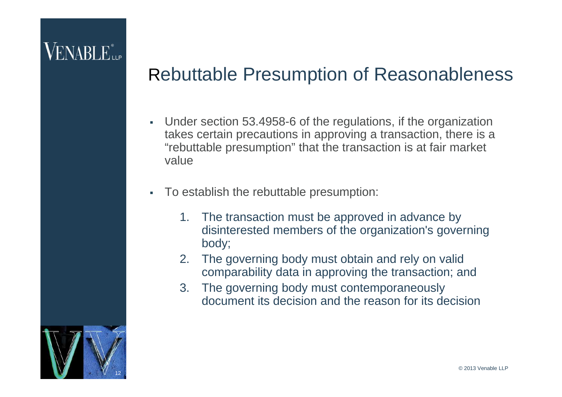#### Rebuttable Presumption of Reasonableness

- Under section 53.4958-6 of the regulations, if the organization takes certain precautions in approving a transaction, there is a "rebuttable presumption" that the transaction is at fair market value
- To establish the rebuttable presumption:
	- 1. The transaction must be approved in advance by disinterested members of the organization's governing body;
	- 2. The governing body must obtain and rely on valid comparability data in approving the transaction; and
	- 3. The governing body must contemporaneously document its decision and the reason for its decision

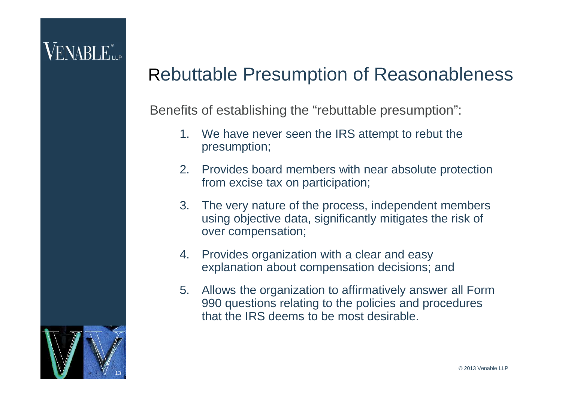#### Rebuttable Presumption of Reasonableness

Benefits of establishing the "rebuttable presumption":

- 1. We have never seen the IRS attempt to rebut the presumption;
- 2. Provides board members with near absolute protection from excise tax on participation;
- 3. The very nature of the process, independent members using objective data, significantly mitigates the risk of over compensation;
- 4. Provides organization with a clear and easy explanation about compensation decisions; and
- 5. Allows the organization to affirmatively answer all Form 990 questions relating to the policies and procedures that the IRS deems to be most desirable.

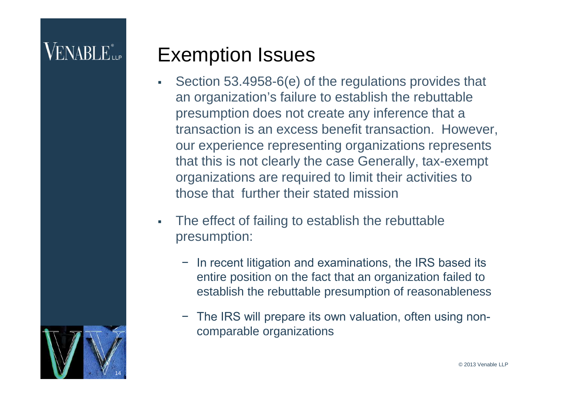#### Exemption Issues

- Section 53.4958-6(e) of the regulations provides that an organization's failure to establish the rebuttable presumption does not create any inference that a transaction is an excess benefit transaction. However, our experience representing organizations represents that this is not clearly the case Generally, tax-exempt organizations are required to limit their activities to those that further their stated mission
- The effect of failing to establish the rebuttable presumption:
	- − In recent litigation and examinations, the IRS based its entire position on the fact that an organization failed to establish the rebuttable presumption of reasonableness
	- − The IRS will prepare its own valuation, often using noncomparable organizations

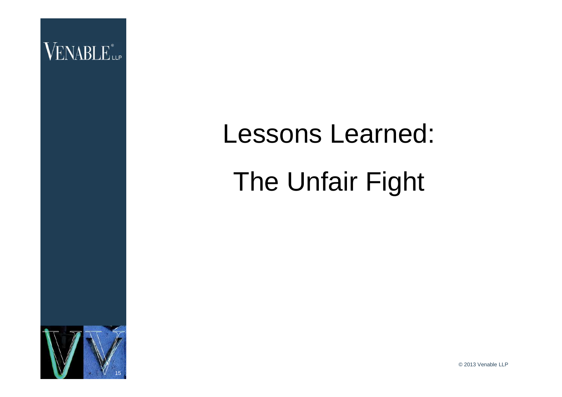

# Lessons Learned: The Unfair Fight



© 2013 Venable LLP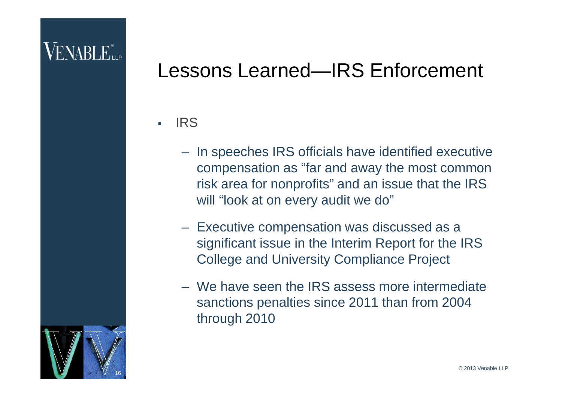## VENABLE<sup>®</sup>

#### Lessons Learned—IRS Enforcement

. IRS

- In speeches IRS officials have identified executive compensation as "far and away the most common risk area for nonprofits" and an issue that the IRS will "look at on every audit we do"
- Executive compensation was discussed as a significant issue in the Interim Report for the IRS College and University Compliance Project
- We have seen the IRS assess more intermediate sanctions penalties since 2011 than from 2004 through 2010

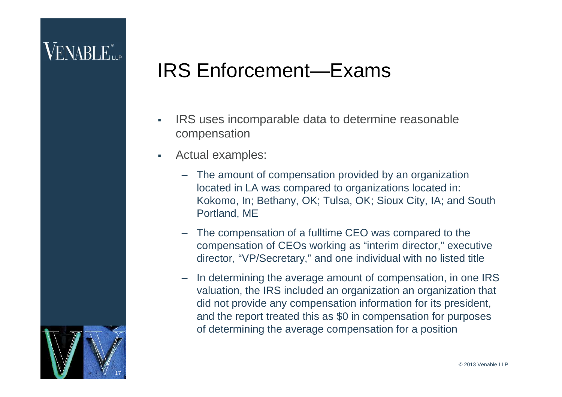## VENABLE<sup>®</sup>

#### IRS Enforcement—Exams

- **IRS** uses incomparable data to determine reasonable compensation
- Actual examples:
	- The amount of compensation provided by an organization located in LA was compared to organizations located in: Kokomo, In; Bethany, OK; Tulsa, OK; Sioux City, IA; and South Portland, ME
	- The compensation of a fulltime CEO was compared to the compensation of CEOs working as "interim director," executive director, "VP/Secretary," and one individual with no listed title
	- In determining the average amount of compensation, in one IRS valuation, the IRS included an organization an organization that did not provide any compensation information for its president, and the report treated this as \$0 in compensation for purposes of determining the average compensation for a position

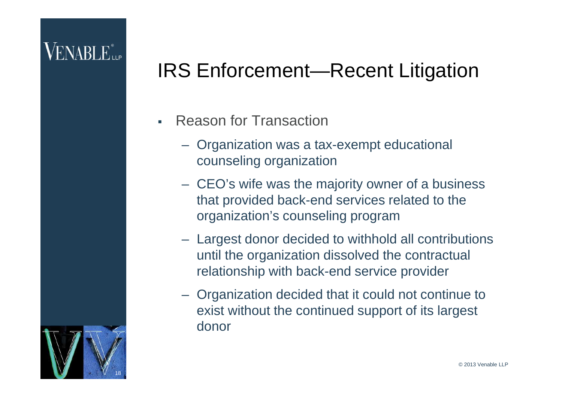- Reason for Transaction
	- Organization was a tax-exempt educational counseling organization
	- CEO's wife was the majority owner of a business that provided back-end services related to the organization's counseling program
	- Largest donor decided to withhold all contributions until the organization dissolved the contractual relationship with back-end service provider
	- Organization decided that it could not continue to exist without the continued support of its largest donor

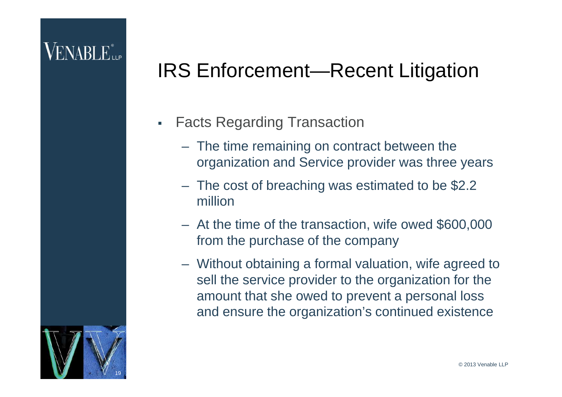- **Facts Regarding Transaction** 
	- The time remaining on contract between the organization and Service provider was three years
	- The cost of breaching was estimated to be \$2.2 million
	- At the time of the transaction, wife owed \$600,000 from the purchase of the company
	- Without obtaining a formal valuation, wife agreed to sell the service provider to the organization for the amount that she owed to prevent a personal loss and ensure the organization's continued existence

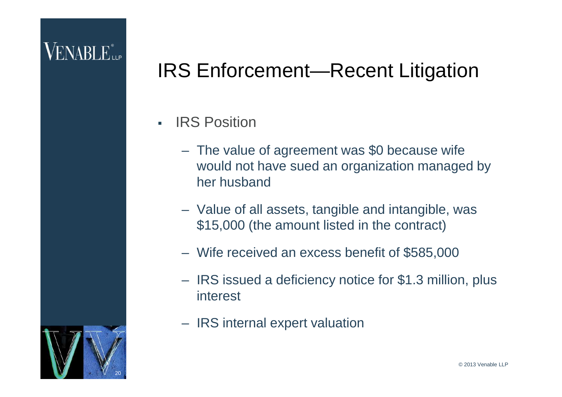- IRS Position
	- The value of agreement was \$0 because wife would not have sued an organization managed by her husband
	- Value of all assets, tangible and intangible, was \$15,000 (the amount listed in the contract)
	- Wife received an excess benefit of \$585,000
	- IRS issued a deficiency notice for \$1.3 million, plus interest
	- IRS internal expert valuation

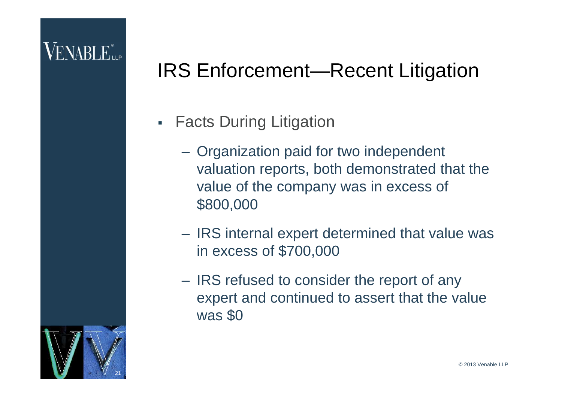## VENABLE...

- **Facts During Litigation** 
	- Organization paid for two independent valuation reports, both demonstrated that the value of the company was in excess of \$800,000
	- IRS internal expert determined that value was in excess of \$700,000
	- IRS refused to consider the report of any expert and continued to assert that the value was \$0

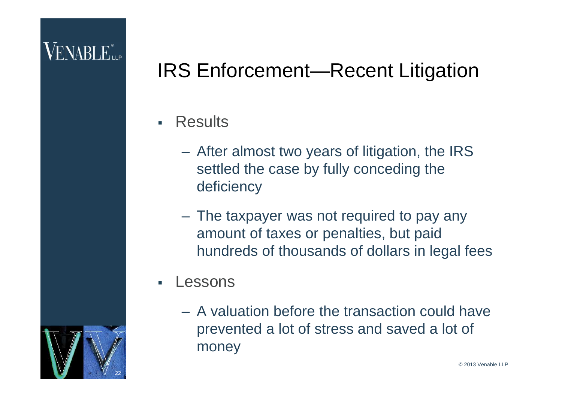## VENABLE...

- **Results** 
	- After almost two years of litigation, the IRS settled the case by fully conceding the deficiency
	- The taxpayer was not required to pay any amount of taxes or penalties, but paid hundreds of thousands of dollars in legal fees
- Lessons
	- A valuation before the transaction could have prevented a lot of stress and saved a lot of money